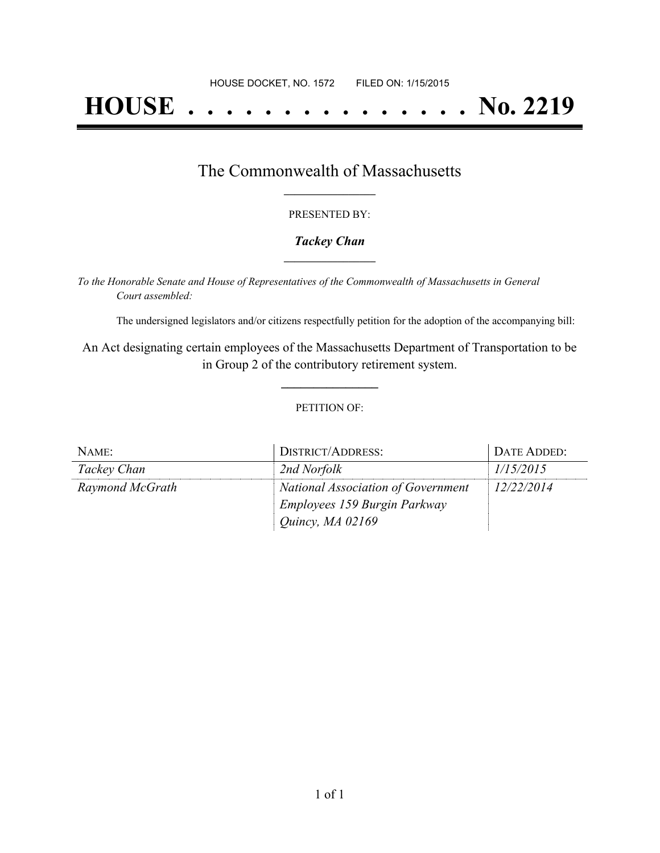# **HOUSE . . . . . . . . . . . . . . . No. 2219**

## The Commonwealth of Massachusetts **\_\_\_\_\_\_\_\_\_\_\_\_\_\_\_\_\_**

#### PRESENTED BY:

#### *Tackey Chan* **\_\_\_\_\_\_\_\_\_\_\_\_\_\_\_\_\_**

*To the Honorable Senate and House of Representatives of the Commonwealth of Massachusetts in General Court assembled:*

The undersigned legislators and/or citizens respectfully petition for the adoption of the accompanying bill:

An Act designating certain employees of the Massachusetts Department of Transportation to be in Group 2 of the contributory retirement system.

**\_\_\_\_\_\_\_\_\_\_\_\_\_\_\_**

#### PETITION OF:

| NAME:           | DISTRICT/ADDRESS:                  | DATE ADDED: |
|-----------------|------------------------------------|-------------|
| Tackey Chan     | 2nd Norfolk                        | 1/15/2015   |
| Raymond McGrath | National Association of Government | 12/22/2014  |
|                 | Employees 159 Burgin Parkway       |             |
|                 | Quincy, MA 02169                   |             |